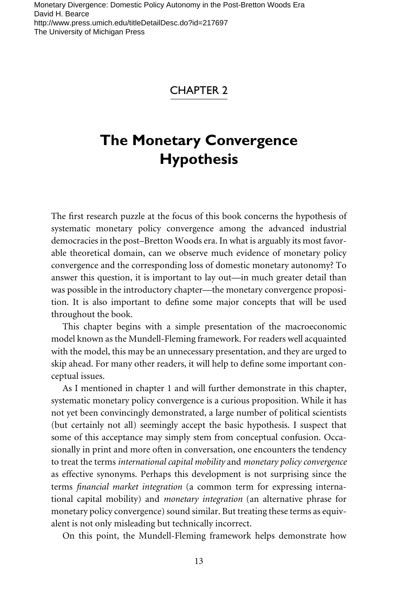# CHAPTER 2

# **The Monetary Convergence Hypothesis**

The first research puzzle at the focus of this book concerns the hypothesis of systematic monetary policy convergence among the advanced industrial democracies in the post–Bretton Woods era. In what is arguably its most favorable theoretical domain, can we observe much evidence of monetary policy convergence and the corresponding loss of domestic monetary autonomy? To answer this question, it is important to lay out—in much greater detail than was possible in the introductory chapter—the monetary convergence proposition. It is also important to define some major concepts that will be used throughout the book.

This chapter begins with a simple presentation of the macroeconomic model known as the Mundell-Fleming framework. For readers well acquainted with the model, this may be an unnecessary presentation, and they are urged to skip ahead. For many other readers, it will help to define some important conceptual issues.

As I mentioned in chapter 1 and will further demonstrate in this chapter, systematic monetary policy convergence is a curious proposition. While it has not yet been convincingly demonstrated, a large number of political scientists (but certainly not all) seemingly accept the basic hypothesis. I suspect that some of this acceptance may simply stem from conceptual confusion. Occasionally in print and more often in conversation, one encounters the tendency to treat the terms *international capital mobility* and *monetary policy convergence* as effective synonyms. Perhaps this development is not surprising since the terms *financial market integration* (a common term for expressing international capital mobility) and *monetary integration* (an alternative phrase for monetary policy convergence) sound similar. But treating these terms as equivalent is not only misleading but technically incorrect.

On this point, the Mundell-Fleming framework helps demonstrate how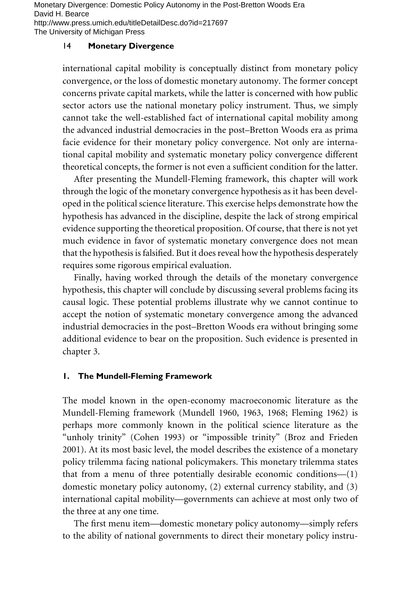The University of Michigan Press

# 14 **Monetary Divergence**

international capital mobility is conceptually distinct from monetary policy convergence, or the loss of domestic monetary autonomy. The former concept concerns private capital markets, while the latter is concerned with how public sector actors use the national monetary policy instrument. Thus, we simply cannot take the well-established fact of international capital mobility among the advanced industrial democracies in the post–Bretton Woods era as prima facie evidence for their monetary policy convergence. Not only are international capital mobility and systematic monetary policy convergence different theoretical concepts, the former is not even a sufficient condition for the latter.

After presenting the Mundell-Fleming framework, this chapter will work through the logic of the monetary convergence hypothesis as it has been developed in the political science literature. This exercise helps demonstrate how the hypothesis has advanced in the discipline, despite the lack of strong empirical evidence supporting the theoretical proposition. Of course, that there is not yet much evidence in favor of systematic monetary convergence does not mean that the hypothesis is falsified. But it does reveal how the hypothesis desperately requires some rigorous empirical evaluation.

Finally, having worked through the details of the monetary convergence hypothesis, this chapter will conclude by discussing several problems facing its causal logic. These potential problems illustrate why we cannot continue to accept the notion of systematic monetary convergence among the advanced industrial democracies in the post–Bretton Woods era without bringing some additional evidence to bear on the proposition. Such evidence is presented in chapter 3.

# **1. The Mundell-Fleming Framework**

The model known in the open-economy macroeconomic literature as the Mundell-Fleming framework (Mundell 1960, 1963, 1968; Fleming 1962) is perhaps more commonly known in the political science literature as the "unholy trinity" (Cohen 1993) or "impossible trinity" (Broz and Frieden 2001). At its most basic level, the model describes the existence of a monetary policy trilemma facing national policymakers. This monetary trilemma states that from a menu of three potentially desirable economic conditions—(1) domestic monetary policy autonomy, (2) external currency stability, and (3) international capital mobility—governments can achieve at most only two of the three at any one time.

The first menu item—domestic monetary policy autonomy—simply refers to the ability of national governments to direct their monetary policy instru-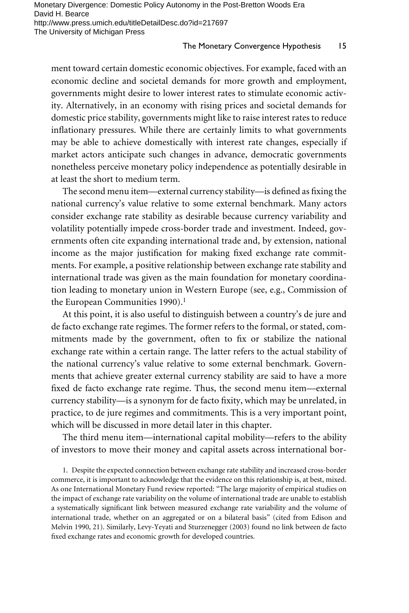ment toward certain domestic economic objectives. For example, faced with an economic decline and societal demands for more growth and employment, governments might desire to lower interest rates to stimulate economic activity. Alternatively, in an economy with rising prices and societal demands for domestic price stability, governments might like to raise interest rates to reduce inflationary pressures. While there are certainly limits to what governments may be able to achieve domestically with interest rate changes, especially if market actors anticipate such changes in advance, democratic governments nonetheless perceive monetary policy independence as potentially desirable in at least the short to medium term.

The second menu item—external currency stability—is defined as fixing the national currency's value relative to some external benchmark. Many actors consider exchange rate stability as desirable because currency variability and volatility potentially impede cross-border trade and investment. Indeed, governments often cite expanding international trade and, by extension, national income as the major justification for making fixed exchange rate commitments. For example, a positive relationship between exchange rate stability and international trade was given as the main foundation for monetary coordination leading to monetary union in Western Europe (see, e.g., Commission of the European Communities 1990).<sup>1</sup>

At this point, it is also useful to distinguish between a country's de jure and de facto exchange rate regimes. The former refers to the formal, or stated, commitments made by the government, often to fix or stabilize the national exchange rate within a certain range. The latter refers to the actual stability of the national currency's value relative to some external benchmark. Governments that achieve greater external currency stability are said to have a more fixed de facto exchange rate regime. Thus, the second menu item—external currency stability—is a synonym for de facto fixity, which may be unrelated, in practice, to de jure regimes and commitments. This is a very important point, which will be discussed in more detail later in this chapter.

The third menu item—international capital mobility—refers to the ability of investors to move their money and capital assets across international bor-

1. Despite the expected connection between exchange rate stability and increased cross-border commerce, it is important to acknowledge that the evidence on this relationship is, at best, mixed. As one International Monetary Fund review reported: "The large majority of empirical studies on the impact of exchange rate variability on the volume of international trade are unable to establish a systematically significant link between measured exchange rate variability and the volume of international trade, whether on an aggregated or on a bilateral basis" (cited from Edison and Melvin 1990, 21). Similarly, Levy-Yeyati and Sturzenegger (2003) found no link between de facto fixed exchange rates and economic growth for developed countries.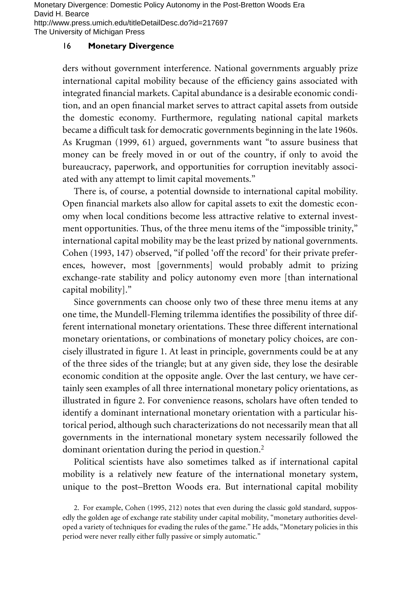The University of Michigan Press

# 16 **Monetary Divergence**

ders without government interference. National governments arguably prize international capital mobility because of the efficiency gains associated with integrated financial markets. Capital abundance is a desirable economic condition, and an open financial market serves to attract capital assets from outside the domestic economy. Furthermore, regulating national capital markets became a difficult task for democratic governments beginning in the late 1960s. As Krugman (1999, 61) argued, governments want "to assure business that money can be freely moved in or out of the country, if only to avoid the bureaucracy, paperwork, and opportunities for corruption inevitably associated with any attempt to limit capital movements."

There is, of course, a potential downside to international capital mobility. Open financial markets also allow for capital assets to exit the domestic economy when local conditions become less attractive relative to external investment opportunities. Thus, of the three menu items of the "impossible trinity," international capital mobility may be the least prized by national governments. Cohen (1993, 147) observed, "if polled 'off the record' for their private preferences, however, most [governments] would probably admit to prizing exchange-rate stability and policy autonomy even more [than international capital mobility]."

Since governments can choose only two of these three menu items at any one time, the Mundell-Fleming trilemma identifies the possibility of three different international monetary orientations. These three different international monetary orientations, or combinations of monetary policy choices, are concisely illustrated in figure 1. At least in principle, governments could be at any of the three sides of the triangle; but at any given side, they lose the desirable economic condition at the opposite angle. Over the last century, we have certainly seen examples of all three international monetary policy orientations, as illustrated in figure 2. For convenience reasons, scholars have often tended to identify a dominant international monetary orientation with a particular historical period, although such characterizations do not necessarily mean that all governments in the international monetary system necessarily followed the dominant orientation during the period in question.<sup>2</sup>

Political scientists have also sometimes talked as if international capital mobility is a relatively new feature of the international monetary system, unique to the post–Bretton Woods era. But international capital mobility

<sup>2.</sup> For example, Cohen (1995, 212) notes that even during the classic gold standard, supposedly the golden age of exchange rate stability under capital mobility, "monetary authorities developed a variety of techniques for evading the rules of the game." He adds, "Monetary policies in this period were never really either fully passive or simply automatic."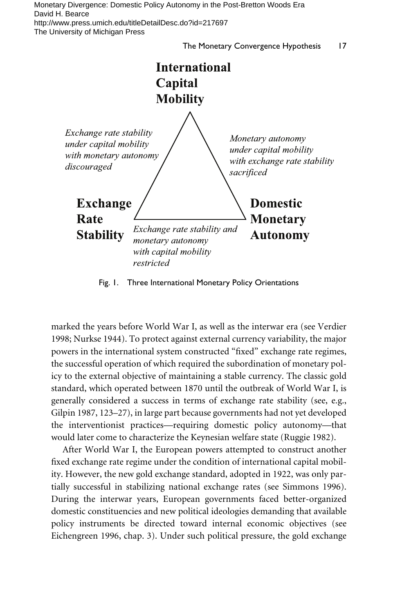The Monetary Convergence Hypothesis 17



Fig. 1. Three International Monetary Policy Orientations

marked the years before World War I, as well as the interwar era (see Verdier 1998; Nurkse 1944). To protect against external currency variability, the major powers in the international system constructed "fixed" exchange rate regimes, the successful operation of which required the subordination of monetary policy to the external objective of maintaining a stable currency. The classic gold standard, which operated between 1870 until the outbreak of World War I, is generally considered a success in terms of exchange rate stability (see, e.g., Gilpin 1987, 123–27), in large part because governments had not yet developed the interventionist practices—requiring domestic policy autonomy—that would later come to characterize the Keynesian welfare state (Ruggie 1982).

After World War I, the European powers attempted to construct another fixed exchange rate regime under the condition of international capital mobility. However, the new gold exchange standard, adopted in 1922, was only partially successful in stabilizing national exchange rates (see Simmons 1996). During the interwar years, European governments faced better-organized domestic constituencies and new political ideologies demanding that available policy instruments be directed toward internal economic objectives (see Eichengreen 1996, chap. 3). Under such political pressure, the gold exchange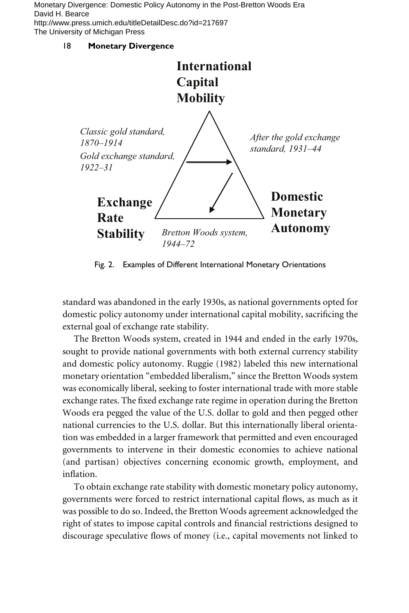# 18 **Monetary Divergence**



Fig. 2. Examples of Different International Monetary Orientations

standard was abandoned in the early 1930s, as national governments opted for domestic policy autonomy under international capital mobility, sacrificing the external goal of exchange rate stability.

The Bretton Woods system, created in 1944 and ended in the early 1970s, sought to provide national governments with both external currency stability and domestic policy autonomy. Ruggie (1982) labeled this new international monetary orientation "embedded liberalism," since the Bretton Woods system was economically liberal, seeking to foster international trade with more stable exchange rates. The fixed exchange rate regime in operation during the Bretton Woods era pegged the value of the U.S. dollar to gold and then pegged other national currencies to the U.S. dollar. But this internationally liberal orientation was embedded in a larger framework that permitted and even encouraged governments to intervene in their domestic economies to achieve national (and partisan) objectives concerning economic growth, employment, and inflation.

To obtain exchange rate stability with domestic monetary policy autonomy, governments were forced to restrict international capital flows, as much as it was possible to do so. Indeed, the Bretton Woods agreement acknowledged the right of states to impose capital controls and financial restrictions designed to discourage speculative flows of money (i.e., capital movements not linked to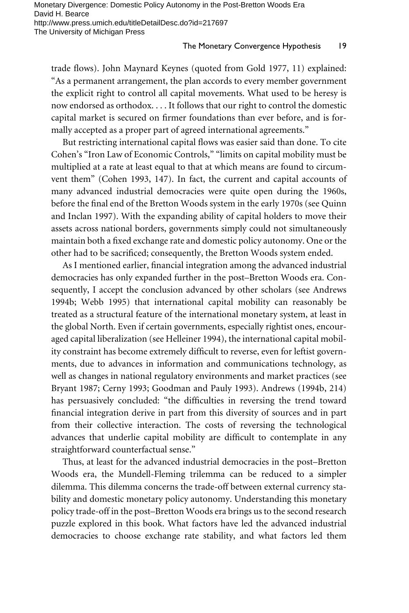trade flows). John Maynard Keynes (quoted from Gold 1977, 11) explained: "As a permanent arrangement, the plan accords to every member government the explicit right to control all capital movements. What used to be heresy is now endorsed as orthodox. . . . It follows that our right to control the domestic capital market is secured on firmer foundations than ever before, and is formally accepted as a proper part of agreed international agreements."

But restricting international capital flows was easier said than done. To cite Cohen's "Iron Law of Economic Controls," "limits on capital mobility must be multiplied at a rate at least equal to that at which means are found to circumvent them" (Cohen 1993, 147). In fact, the current and capital accounts of many advanced industrial democracies were quite open during the 1960s, before the final end of the Bretton Woods system in the early 1970s (see Quinn and Inclan 1997). With the expanding ability of capital holders to move their assets across national borders, governments simply could not simultaneously maintain both a fixed exchange rate and domestic policy autonomy. One or the other had to be sacrificed; consequently, the Bretton Woods system ended.

As I mentioned earlier, financial integration among the advanced industrial democracies has only expanded further in the post–Bretton Woods era. Consequently, I accept the conclusion advanced by other scholars (see Andrews 1994b; Webb 1995) that international capital mobility can reasonably be treated as a structural feature of the international monetary system, at least in the global North. Even if certain governments, especially rightist ones, encouraged capital liberalization (see Helleiner 1994), the international capital mobility constraint has become extremely difficult to reverse, even for leftist governments, due to advances in information and communications technology, as well as changes in national regulatory environments and market practices (see Bryant 1987; Cerny 1993; Goodman and Pauly 1993). Andrews (1994b, 214) has persuasively concluded: "the difficulties in reversing the trend toward financial integration derive in part from this diversity of sources and in part from their collective interaction. The costs of reversing the technological advances that underlie capital mobility are difficult to contemplate in any straightforward counterfactual sense."

Thus, at least for the advanced industrial democracies in the post–Bretton Woods era, the Mundell-Fleming trilemma can be reduced to a simpler dilemma. This dilemma concerns the trade-off between external currency stability and domestic monetary policy autonomy. Understanding this monetary policy trade-off in the post–Bretton Woods era brings us to the second research puzzle explored in this book. What factors have led the advanced industrial democracies to choose exchange rate stability, and what factors led them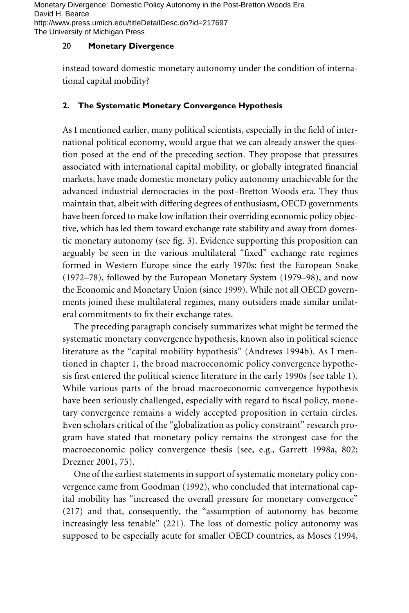# 20 **Monetary Divergence**

instead toward domestic monetary autonomy under the condition of international capital mobility?

# **2. The Systematic Monetary Convergence Hypothesis**

As I mentioned earlier, many political scientists, especially in the field of international political economy, would argue that we can already answer the question posed at the end of the preceding section. They propose that pressures associated with international capital mobility, or globally integrated financial markets, have made domestic monetary policy autonomy unachievable for the advanced industrial democracies in the post–Bretton Woods era. They thus maintain that, albeit with differing degrees of enthusiasm, OECD governments have been forced to make low inflation their overriding economic policy objective, which has led them toward exchange rate stability and away from domestic monetary autonomy (see fig. 3). Evidence supporting this proposition can arguably be seen in the various multilateral "fixed" exchange rate regimes formed in Western Europe since the early 1970s: first the European Snake (1972–78), followed by the European Monetary System (1979–98), and now the Economic and Monetary Union (since 1999). While not all OECD governments joined these multilateral regimes, many outsiders made similar unilateral commitments to fix their exchange rates.

The preceding paragraph concisely summarizes what might be termed the systematic monetary convergence hypothesis, known also in political science literature as the "capital mobility hypothesis" (Andrews 1994b). As I mentioned in chapter 1, the broad macroeconomic policy convergence hypothesis first entered the political science literature in the early 1990s (see table 1). While various parts of the broad macroeconomic convergence hypothesis have been seriously challenged, especially with regard to fiscal policy, monetary convergence remains a widely accepted proposition in certain circles. Even scholars critical of the "globalization as policy constraint" research program have stated that monetary policy remains the strongest case for the macroeconomic policy convergence thesis (see, e.g., Garrett 1998a, 802; Drezner 2001, 75).

One of the earliest statements in support of systematic monetary policy convergence came from Goodman (1992), who concluded that international capital mobility has "increased the overall pressure for monetary convergence" (217) and that, consequently, the "assumption of autonomy has become increasingly less tenable" (221). The loss of domestic policy autonomy was supposed to be especially acute for smaller OECD countries, as Moses (1994,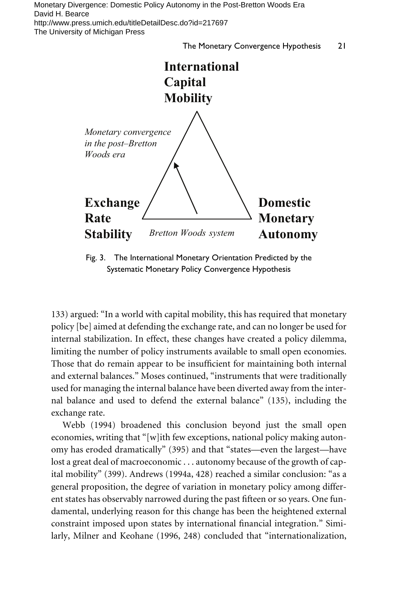The Monetary Convergence Hypothesis 21



Fig. 3. The International Monetary Orientation Predicted by the Systematic Monetary Policy Convergence Hypothesis

133) argued: "In a world with capital mobility, this has required that monetary policy [be] aimed at defending the exchange rate, and can no longer be used for internal stabilization. In effect, these changes have created a policy dilemma, limiting the number of policy instruments available to small open economies. Those that do remain appear to be insufficient for maintaining both internal and external balances." Moses continued, "instruments that were traditionally used for managing the internal balance have been diverted away from the internal balance and used to defend the external balance" (135), including the exchange rate.

Webb (1994) broadened this conclusion beyond just the small open economies, writing that "[w]ith few exceptions, national policy making autonomy has eroded dramatically" (395) and that "states—even the largest—have lost a great deal of macroeconomic . . . autonomy because of the growth of capital mobility" (399). Andrews (1994a, 428) reached a similar conclusion: "as a general proposition, the degree of variation in monetary policy among different states has observably narrowed during the past fifteen or so years. One fundamental, underlying reason for this change has been the heightened external constraint imposed upon states by international financial integration." Similarly, Milner and Keohane (1996, 248) concluded that "internationalization,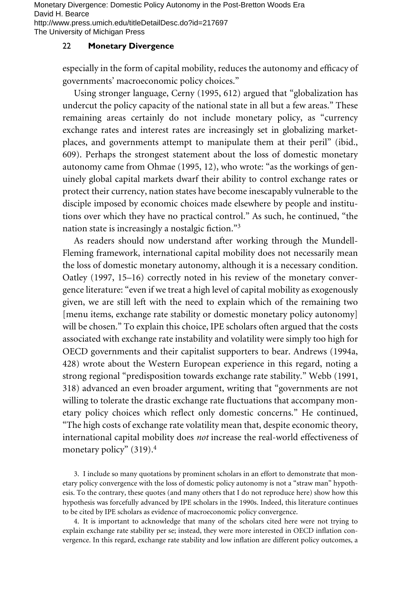The University of Michigan Press

#### 22 **Monetary Divergence**

especially in the form of capital mobility, reduces the autonomy and efficacy of governments' macroeconomic policy choices."

Using stronger language, Cerny (1995, 612) argued that "globalization has undercut the policy capacity of the national state in all but a few areas." These remaining areas certainly do not include monetary policy, as "currency exchange rates and interest rates are increasingly set in globalizing marketplaces, and governments attempt to manipulate them at their peril" (ibid., 609). Perhaps the strongest statement about the loss of domestic monetary autonomy came from Ohmae (1995, 12), who wrote: "as the workings of genuinely global capital markets dwarf their ability to control exchange rates or protect their currency, nation states have become inescapably vulnerable to the disciple imposed by economic choices made elsewhere by people and institutions over which they have no practical control." As such, he continued, "the nation state is increasingly a nostalgic fiction."<sup>3</sup>

As readers should now understand after working through the Mundell-Fleming framework, international capital mobility does not necessarily mean the loss of domestic monetary autonomy, although it is a necessary condition. Oatley (1997, 15–16) correctly noted in his review of the monetary convergence literature: "even if we treat a high level of capital mobility as exogenously given, we are still left with the need to explain which of the remaining two [menu items, exchange rate stability or domestic monetary policy autonomy] will be chosen." To explain this choice, IPE scholars often argued that the costs associated with exchange rate instability and volatility were simply too high for OECD governments and their capitalist supporters to bear. Andrews (1994a, 428) wrote about the Western European experience in this regard, noting a strong regional "predisposition towards exchange rate stability." Webb (1991, 318) advanced an even broader argument, writing that "governments are not willing to tolerate the drastic exchange rate fluctuations that accompany monetary policy choices which reflect only domestic concerns." He continued, "The high costs of exchange rate volatility mean that, despite economic theory, international capital mobility does *not* increase the real-world effectiveness of monetary policy" (319).<sup>4</sup>

3. I include so many quotations by prominent scholars in an effort to demonstrate that monetary policy convergence with the loss of domestic policy autonomy is not a "straw man" hypothesis. To the contrary, these quotes (and many others that I do not reproduce here) show how this hypothesis was forcefully advanced by IPE scholars in the 1990s. Indeed, this literature continues to be cited by IPE scholars as evidence of macroeconomic policy convergence.

4. It is important to acknowledge that many of the scholars cited here were not trying to explain exchange rate stability per se; instead, they were more interested in OECD inflation convergence. In this regard, exchange rate stability and low inflation are different policy outcomes, a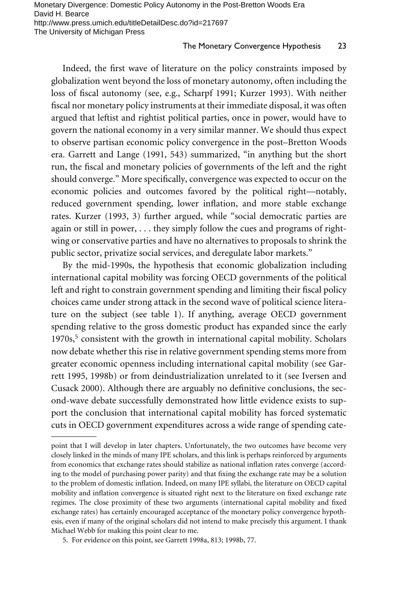Indeed, the first wave of literature on the policy constraints imposed by globalization went beyond the loss of monetary autonomy, often including the loss of fiscal autonomy (see, e.g., Scharpf 1991; Kurzer 1993). With neither fiscal nor monetary policy instruments at their immediate disposal, it was often argued that leftist and rightist political parties, once in power, would have to govern the national economy in a very similar manner. We should thus expect to observe partisan economic policy convergence in the post–Bretton Woods era. Garrett and Lange (1991, 543) summarized, "in anything but the short run, the fiscal and monetary policies of governments of the left and the right should converge." More specifically, convergence was expected to occur on the economic policies and outcomes favored by the political right—notably, reduced government spending, lower inflation, and more stable exchange rates. Kurzer (1993, 3) further argued, while "social democratic parties are again or still in power, . . . they simply follow the cues and programs of rightwing or conservative parties and have no alternatives to proposals to shrink the public sector, privatize social services, and deregulate labor markets."

By the mid-1990s, the hypothesis that economic globalization including international capital mobility was forcing OECD governments of the political left and right to constrain government spending and limiting their fiscal policy choices came under strong attack in the second wave of political science literature on the subject (see table 1). If anything, average OECD government spending relative to the gross domestic product has expanded since the early  $1970s$ ,<sup>5</sup> consistent with the growth in international capital mobility. Scholars now debate whether this rise in relative government spending stems more from greater economic openness including international capital mobility (see Garrett 1995, 1998b) or from deindustrialization unrelated to it (see Iversen and Cusack 2000). Although there are arguably no definitive conclusions, the second-wave debate successfully demonstrated how little evidence exists to support the conclusion that international capital mobility has forced systematic cuts in OECD government expenditures across a wide range of spending cate-

point that I will develop in later chapters. Unfortunately, the two outcomes have become very closely linked in the minds of many IPE scholars, and this link is perhaps reinforced by arguments from economics that exchange rates should stabilize as national inflation rates converge (according to the model of purchasing power parity) and that fixing the exchange rate may be a solution to the problem of domestic inflation. Indeed, on many IPE syllabi, the literature on OECD capital mobility and inflation convergence is situated right next to the literature on fixed exchange rate regimes. The close proximity of these two arguments (international capital mobility and fixed exchange rates) has certainly encouraged acceptance of the monetary policy convergence hypothesis, even if many of the original scholars did not intend to make precisely this argument. I thank Michael Webb for making this point clear to me.

<sup>5.</sup> For evidence on this point, see Garrett 1998a, 813; 1998b, 77.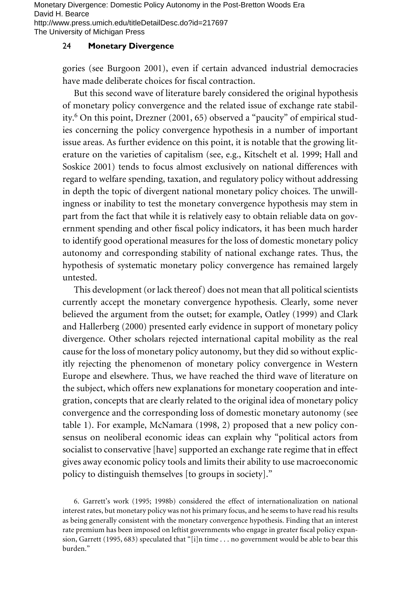The University of Michigan Press

# 24 **Monetary Divergence**

gories (see Burgoon 2001), even if certain advanced industrial democracies have made deliberate choices for fiscal contraction.

But this second wave of literature barely considered the original hypothesis of monetary policy convergence and the related issue of exchange rate stability.<sup>6</sup> On this point, Drezner (2001, 65) observed a "paucity" of empirical studies concerning the policy convergence hypothesis in a number of important issue areas. As further evidence on this point, it is notable that the growing literature on the varieties of capitalism (see, e.g., Kitschelt et al. 1999; Hall and Soskice 2001) tends to focus almost exclusively on national differences with regard to welfare spending, taxation, and regulatory policy without addressing in depth the topic of divergent national monetary policy choices. The unwillingness or inability to test the monetary convergence hypothesis may stem in part from the fact that while it is relatively easy to obtain reliable data on government spending and other fiscal policy indicators, it has been much harder to identify good operational measures for the loss of domestic monetary policy autonomy and corresponding stability of national exchange rates. Thus, the hypothesis of systematic monetary policy convergence has remained largely untested.

This development (or lack thereof) does not mean that all political scientists currently accept the monetary convergence hypothesis. Clearly, some never believed the argument from the outset; for example, Oatley (1999) and Clark and Hallerberg (2000) presented early evidence in support of monetary policy divergence. Other scholars rejected international capital mobility as the real cause for the loss of monetary policy autonomy, but they did so without explicitly rejecting the phenomenon of monetary policy convergence in Western Europe and elsewhere. Thus, we have reached the third wave of literature on the subject, which offers new explanations for monetary cooperation and integration, concepts that are clearly related to the original idea of monetary policy convergence and the corresponding loss of domestic monetary autonomy (see table 1). For example, McNamara (1998, 2) proposed that a new policy consensus on neoliberal economic ideas can explain why "political actors from socialist to conservative [have] supported an exchange rate regime that in effect gives away economic policy tools and limits their ability to use macroeconomic policy to distinguish themselves [to groups in society]."

6. Garrett's work (1995; 1998b) considered the effect of internationalization on national interest rates, but monetary policy was not his primary focus, and he seems to have read his results as being generally consistent with the monetary convergence hypothesis. Finding that an interest rate premium has been imposed on leftist governments who engage in greater fiscal policy expansion, Garrett (1995, 683) speculated that "[i]n time . . . no government would be able to bear this burden."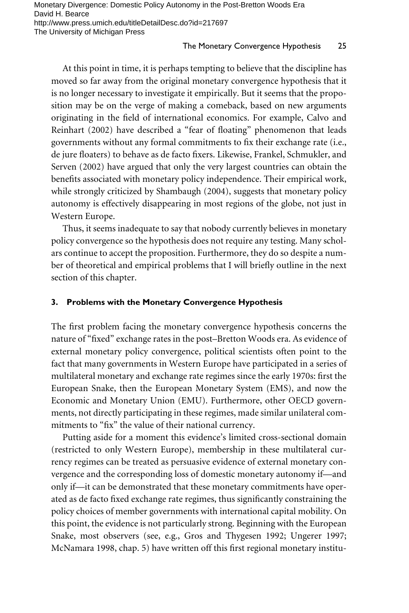At this point in time, it is perhaps tempting to believe that the discipline has moved so far away from the original monetary convergence hypothesis that it is no longer necessary to investigate it empirically. But it seems that the proposition may be on the verge of making a comeback, based on new arguments originating in the field of international economics. For example, Calvo and Reinhart (2002) have described a "fear of floating" phenomenon that leads governments without any formal commitments to fix their exchange rate (i.e., de jure floaters) to behave as de facto fixers. Likewise, Frankel, Schmukler, and Serven (2002) have argued that only the very largest countries can obtain the benefits associated with monetary policy independence. Their empirical work, while strongly criticized by Shambaugh (2004), suggests that monetary policy autonomy is effectively disappearing in most regions of the globe, not just in Western Europe.

Thus, it seems inadequate to say that nobody currently believes in monetary policy convergence so the hypothesis does not require any testing. Many scholars continue to accept the proposition. Furthermore, they do so despite a number of theoretical and empirical problems that I will briefly outline in the next section of this chapter.

#### **3. Problems with the Monetary Convergence Hypothesis**

The first problem facing the monetary convergence hypothesis concerns the nature of "fixed" exchange rates in the post-Bretton Woods era. As evidence of external monetary policy convergence, political scientists often point to the fact that many governments in Western Europe have participated in a series of multilateral monetary and exchange rate regimes since the early 1970s: first the European Snake, then the European Monetary System (EMS), and now the Economic and Monetary Union (EMU). Furthermore, other OECD governments, not directly participating in these regimes, made similar unilateral commitments to "fix" the value of their national currency.

Putting aside for a moment this evidence's limited cross-sectional domain (restricted to only Western Europe), membership in these multilateral currency regimes can be treated as persuasive evidence of external monetary convergence and the corresponding loss of domestic monetary autonomy if—and only if—it can be demonstrated that these monetary commitments have operated as de facto fixed exchange rate regimes, thus significantly constraining the policy choices of member governments with international capital mobility. On this point, the evidence is not particularly strong. Beginning with the European Snake, most observers (see, e.g., Gros and Thygesen 1992; Ungerer 1997; McNamara 1998, chap. 5) have written off this first regional monetary institu-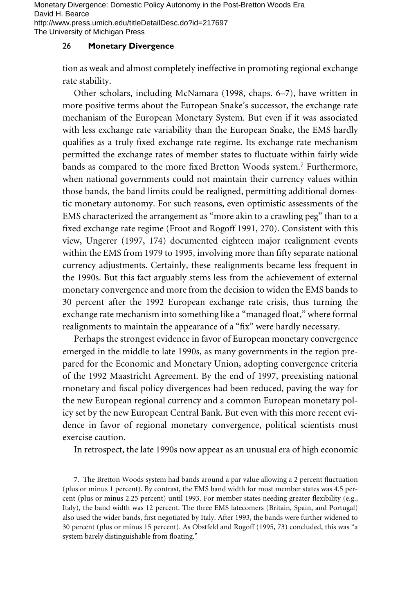#### 26 **Monetary Divergence**

tion as weak and almost completely ineffective in promoting regional exchange rate stability.

Other scholars, including McNamara (1998, chaps. 6–7), have written in more positive terms about the European Snake's successor, the exchange rate mechanism of the European Monetary System. But even if it was associated with less exchange rate variability than the European Snake, the EMS hardly qualifies as a truly fixed exchange rate regime. Its exchange rate mechanism permitted the exchange rates of member states to fluctuate within fairly wide bands as compared to the more fixed Bretton Woods system.<sup>7</sup> Furthermore, when national governments could not maintain their currency values within those bands, the band limits could be realigned, permitting additional domestic monetary autonomy. For such reasons, even optimistic assessments of the EMS characterized the arrangement as "more akin to a crawling peg" than to a fixed exchange rate regime (Froot and Rogoff 1991, 270). Consistent with this view, Ungerer (1997, 174) documented eighteen major realignment events within the EMS from 1979 to 1995, involving more than fifty separate national currency adjustments. Certainly, these realignments became less frequent in the 1990s. But this fact arguably stems less from the achievement of external monetary convergence and more from the decision to widen the EMS bands to 30 percent after the 1992 European exchange rate crisis, thus turning the exchange rate mechanism into something like a "managed float," where formal realignments to maintain the appearance of a "fix" were hardly necessary.

Perhaps the strongest evidence in favor of European monetary convergence emerged in the middle to late 1990s, as many governments in the region prepared for the Economic and Monetary Union, adopting convergence criteria of the 1992 Maastricht Agreement. By the end of 1997, preexisting national monetary and fiscal policy divergences had been reduced, paving the way for the new European regional currency and a common European monetary policy set by the new European Central Bank. But even with this more recent evidence in favor of regional monetary convergence, political scientists must exercise caution.

In retrospect, the late 1990s now appear as an unusual era of high economic

7. The Bretton Woods system had bands around a par value allowing a 2 percent fluctuation (plus or minus 1 percent). By contrast, the EMS band width for most member states was 4.5 percent (plus or minus 2.25 percent) until 1993. For member states needing greater flexibility (e.g., Italy), the band width was 12 percent. The three EMS latecomers (Britain, Spain, and Portugal) also used the wider bands, first negotiated by Italy. After 1993, the bands were further widened to 30 percent (plus or minus 15 percent). As Obstfeld and Rogoff (1995, 73) concluded, this was "a system barely distinguishable from floating."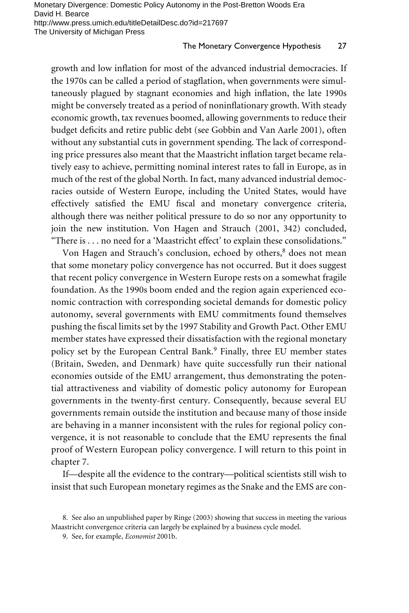growth and low inflation for most of the advanced industrial democracies. If the 1970s can be called a period of stagflation, when governments were simultaneously plagued by stagnant economies and high inflation, the late 1990s might be conversely treated as a period of noninflationary growth. With steady economic growth, tax revenues boomed, allowing governments to reduce their budget deficits and retire public debt (see Gobbin and Van Aarle 2001), often without any substantial cuts in government spending. The lack of corresponding price pressures also meant that the Maastricht inflation target became relatively easy to achieve, permitting nominal interest rates to fall in Europe, as in much of the rest of the global North. In fact, many advanced industrial democracies outside of Western Europe, including the United States, would have effectively satisfied the EMU fiscal and monetary convergence criteria, although there was neither political pressure to do so nor any opportunity to join the new institution. Von Hagen and Strauch (2001, 342) concluded, "There is . . . no need for a 'Maastricht effect' to explain these consolidations."

Von Hagen and Strauch's conclusion, echoed by others,<sup>8</sup> does not mean that some monetary policy convergence has not occurred. But it does suggest that recent policy convergence in Western Europe rests on a somewhat fragile foundation. As the 1990s boom ended and the region again experienced economic contraction with corresponding societal demands for domestic policy autonomy, several governments with EMU commitments found themselves pushing the fiscal limits set by the 1997 Stability and Growth Pact. Other EMU member states have expressed their dissatisfaction with the regional monetary policy set by the European Central Bank.<sup>9</sup> Finally, three EU member states (Britain, Sweden, and Denmark) have quite successfully run their national economies outside of the EMU arrangement, thus demonstrating the potential attractiveness and viability of domestic policy autonomy for European governments in the twenty-first century. Consequently, because several EU governments remain outside the institution and because many of those inside are behaving in a manner inconsistent with the rules for regional policy convergence, it is not reasonable to conclude that the EMU represents the final proof of Western European policy convergence. I will return to this point in chapter 7.

If—despite all the evidence to the contrary—political scientists still wish to insist that such European monetary regimes as the Snake and the EMS are con-

9. See, for example, *Economist* 2001b.

<sup>8.</sup> See also an unpublished paper by Ringe (2003) showing that success in meeting the various Maastricht convergence criteria can largely be explained by a business cycle model.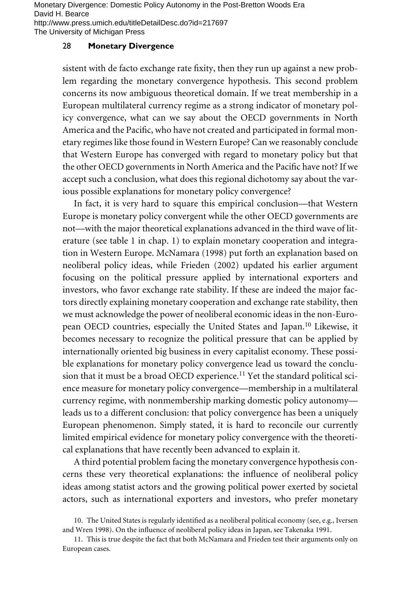The University of Michigan Press

#### 28 **Monetary Divergence**

sistent with de facto exchange rate fixity, then they run up against a new problem regarding the monetary convergence hypothesis. This second problem concerns its now ambiguous theoretical domain. If we treat membership in a European multilateral currency regime as a strong indicator of monetary policy convergence, what can we say about the OECD governments in North America and the Pacific, who have not created and participated in formal monetary regimes like those found in Western Europe? Can we reasonably conclude that Western Europe has converged with regard to monetary policy but that the other OECD governments in North America and the Pacific have not? If we accept such a conclusion, what does this regional dichotomy say about the various possible explanations for monetary policy convergence?

In fact, it is very hard to square this empirical conclusion—that Western Europe is monetary policy convergent while the other OECD governments are not—with the major theoretical explanations advanced in the third wave of literature (see table 1 in chap. 1) to explain monetary cooperation and integration in Western Europe. McNamara (1998) put forth an explanation based on neoliberal policy ideas, while Frieden (2002) updated his earlier argument focusing on the political pressure applied by international exporters and investors, who favor exchange rate stability. If these are indeed the major factors directly explaining monetary cooperation and exchange rate stability, then we must acknowledge the power of neoliberal economic ideas in the non-European OECD countries, especially the United States and Japan.10 Likewise, it becomes necessary to recognize the political pressure that can be applied by internationally oriented big business in every capitalist economy. These possible explanations for monetary policy convergence lead us toward the conclusion that it must be a broad OECD experience.<sup>11</sup> Yet the standard political science measure for monetary policy convergence—membership in a multilateral currency regime, with nonmembership marking domestic policy autonomy leads us to a different conclusion: that policy convergence has been a uniquely European phenomenon. Simply stated, it is hard to reconcile our currently limited empirical evidence for monetary policy convergence with the theoretical explanations that have recently been advanced to explain it.

A third potential problem facing the monetary convergence hypothesis concerns these very theoretical explanations: the influence of neoliberal policy ideas among statist actors and the growing political power exerted by societal actors, such as international exporters and investors, who prefer monetary

<sup>10.</sup> The United States is regularly identified as a neoliberal political economy (see, e.g., Iversen and Wren 1998). On the influence of neoliberal policy ideas in Japan, see Takenaka 1991.

<sup>11.</sup> This is true despite the fact that both McNamara and Frieden test their arguments only on European cases.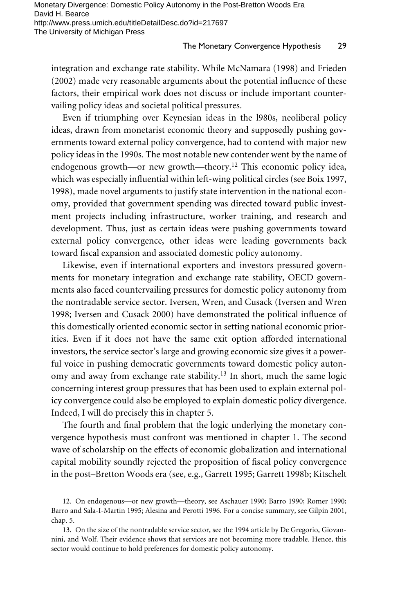integration and exchange rate stability. While McNamara (1998) and Frieden  $(2002)$  made very reasonable arguments about the potential influence of these factors, their empirical work does not discuss or include important countervailing policy ideas and societal political pressures.

Even if triumphing over Keynesian ideas in the l980s, neoliberal policy ideas, drawn from monetarist economic theory and supposedly pushing governments toward external policy convergence, had to contend with major new policy ideas in the 1990s. The most notable new contender went by the name of endogenous growth—or new growth—theory.<sup>12</sup> This economic policy idea, which was especially influential within left-wing political circles (see Boix 1997, 1998), made novel arguments to justify state intervention in the national economy, provided that government spending was directed toward public investment projects including infrastructure, worker training, and research and development. Thus, just as certain ideas were pushing governments toward external policy convergence, other ideas were leading governments back toward fiscal expansion and associated domestic policy autonomy.

Likewise, even if international exporters and investors pressured governments for monetary integration and exchange rate stability, OECD governments also faced countervailing pressures for domestic policy autonomy from the nontradable service sector. Iversen, Wren, and Cusack (Iversen and Wren 1998; Iversen and Cusack 2000) have demonstrated the political influence of this domestically oriented economic sector in setting national economic priorities. Even if it does not have the same exit option afforded international investors, the service sector's large and growing economic size gives it a powerful voice in pushing democratic governments toward domestic policy autonomy and away from exchange rate stability.<sup>13</sup> In short, much the same logic concerning interest group pressures that has been used to explain external policy convergence could also be employed to explain domestic policy divergence. Indeed, I will do precisely this in chapter 5.

The fourth and final problem that the logic underlying the monetary convergence hypothesis must confront was mentioned in chapter 1. The second wave of scholarship on the effects of economic globalization and international capital mobility soundly rejected the proposition of fiscal policy convergence in the post–Bretton Woods era (see, e.g., Garrett 1995; Garrett 1998b; Kitschelt

<sup>12.</sup> On endogenous—or new growth—theory, see Aschauer 1990; Barro 1990; Romer 1990; Barro and Sala-I-Martin 1995; Alesina and Perotti 1996. For a concise summary, see Gilpin 2001, chap. 5.

<sup>13.</sup> On the size of the nontradable service sector, see the 1994 article by De Gregorio, Giovannini, and Wolf. Their evidence shows that services are not becoming more tradable. Hence, this sector would continue to hold preferences for domestic policy autonomy.